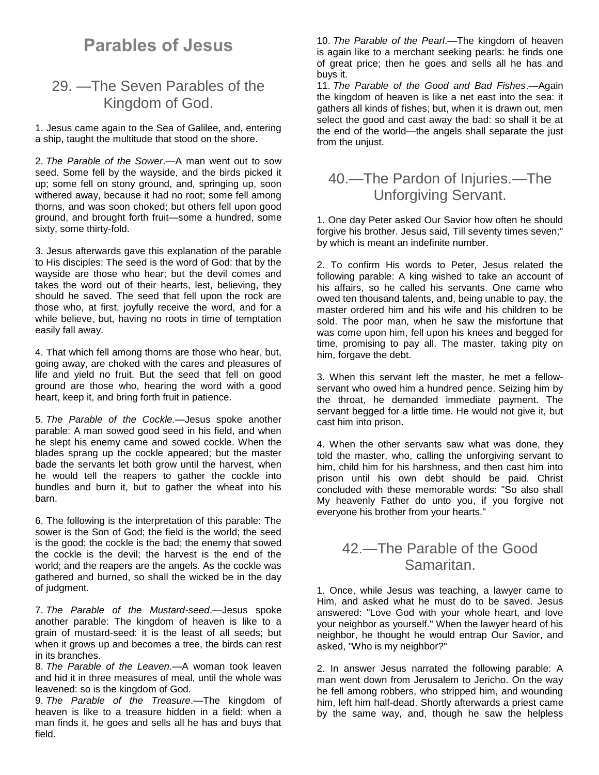# **Parables of Jesus**

# 29. —The Seven Parables of the Kingdom of God.

1. Jesus came again to the Sea of Galilee, and, entering a ship, taught the multitude that stood on the shore.

2. *The Parable of the Sower*.—A man went out to sow seed. Some fell by the wayside, and the birds picked it up; some fell on stony ground, and, springing up, soon withered away, because it had no root; some fell among thorns, and was soon choked; but others fell upon good ground, and brought forth fruit—some a hundred, some sixty, some thirty-fold.

3. Jesus afterwards gave this explanation of the parable to His disciples: The seed is the word of God: that by the wayside are those who hear; but the devil comes and takes the word out of their hearts, lest, believing, they should he saved. The seed that fell upon the rock are those who, at first, joyfully receive the word, and for a while believe, but, having no roots in time of temptation easily fall away.

4. That which fell among thorns are those who hear, but, going away, are choked with the cares and pleasures of life and yield no fruit. But the seed that fell on good ground are those who, hearing the word with a good heart, keep it, and bring forth fruit in patience.

5. *The Parable of the Cockle.*—Jesus spoke another parable: A man sowed good seed in his field, and when he slept his enemy came and sowed cockle. When the blades sprang up the cockle appeared; but the master bade the servants let both grow until the harvest, when he would tell the reapers to gather the cockle into bundles and burn it, but to gather the wheat into his barn.

6. The following is the interpretation of this parable: The sower is the Son of God; the field is the world; the seed is the good; the cockle is the bad; the enemy that sowed the cockle is the devil; the harvest is the end of the world; and the reapers are the angels. As the cockle was gathered and burned, so shall the wicked be in the day of judgment.

7. *The Parable of the Mustard-seed*.—Jesus spoke another parable: The kingdom of heaven is like to a grain of mustard-seed: it is the least of all seeds; but when it grows up and becomes a tree, the birds can rest in its branches.

8. *The Parable of the Leaven*.—A woman took leaven and hid it in three measures of meal, until the whole was leavened: so is the kingdom of God.

9. *The Parable of the Treasure*.—The kingdom of heaven is like to a treasure hidden in a field: when a man finds it, he goes and sells all he has and buys that field.

10. *The Parable of the Pearl*.—The kingdom of heaven is again like to a merchant seeking pearls: he finds one of great price; then he goes and sells all he has and buys it.

11. *The Parable of the Good and Bad Fishes*.—Again the kingdom of heaven is like a net east into the sea: it gathers all kinds of fishes; but, when it is drawn out, men select the good and cast away the bad: so shall it be at the end of the world—the angels shall separate the just from the unjust.

# 40.—The Pardon of Injuries.—The Unforgiving Servant.

1. One day Peter asked Our Savior how often he should forgive his brother. Jesus said, Till seventy times seven;" by which is meant an indefinite number.

2. To confirm His words to Peter, Jesus related the following parable: A king wished to take an account of his affairs, so he called his servants. One came who owed ten thousand talents, and, being unable to pay, the master ordered him and his wife and his children to be sold. The poor man, when he saw the misfortune that was come upon him, fell upon his knees and begged for time, promising to pay all. The master, taking pity on him, forgave the debt.

3. When this servant left the master, he met a fellowservant who owed him a hundred pence. Seizing him by the throat, he demanded immediate payment. The servant begged for a little time. He would not give it, but cast him into prison.

4. When the other servants saw what was done, they told the master, who, calling the unforgiving servant to him, child him for his harshness, and then cast him into prison until his own debt should be paid. Christ concluded with these memorable words: "So also shall My heavenly Father do unto you, if you forgive not everyone his brother from your hearts."

#### 42.—The Parable of the Good Samaritan.

1. Once, while Jesus was teaching, a lawyer came to Him, and asked what he must do to be saved. Jesus answered: "Love God with your whole heart, and love your neighbor as yourself." When the lawyer heard of his neighbor, he thought he would entrap Our Savior, and asked, "Who is my neighbor?"

2. In answer Jesus narrated the following parable: A man went down from Jerusalem to Jericho. On the way he fell among robbers, who stripped him, and wounding him, left him half-dead. Shortly afterwards a priest came by the same way, and, though he saw the helpless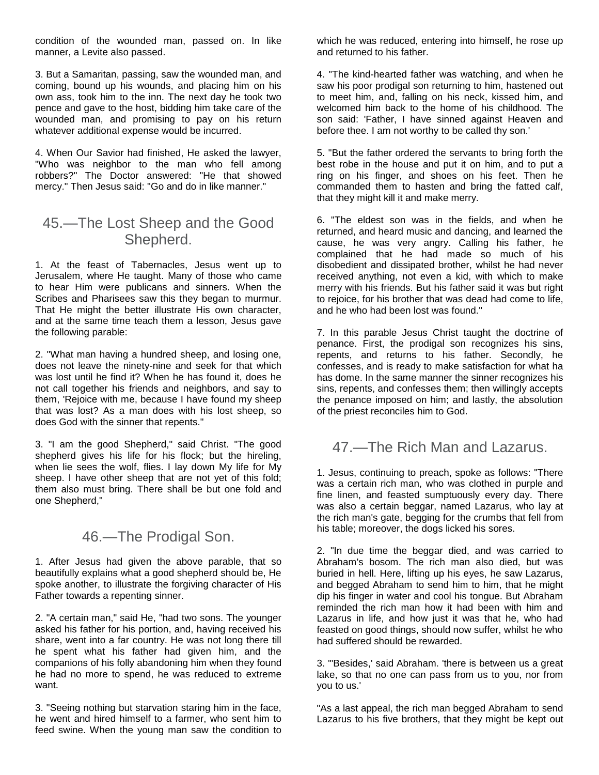condition of the wounded man, passed on. In like manner, a Levite also passed.

3. But a Samaritan, passing, saw the wounded man, and coming, bound up his wounds, and placing him on his own ass, took him to the inn. The next day he took two pence and gave to the host, bidding him take care of the wounded man, and promising to pay on his return whatever additional expense would be incurred.

4. When Our Savior had finished, He asked the lawyer, "Who was neighbor to the man who fell among robbers?" The Doctor answered: "He that showed mercy." Then Jesus said: "Go and do in like manner."

## 45.—The Lost Sheep and the Good Shepherd.

1. At the feast of Tabernacles, Jesus went up to Jerusalem, where He taught. Many of those who came to hear Him were publicans and sinners. When the Scribes and Pharisees saw this they began to murmur. That He might the better illustrate His own character, and at the same time teach them a lesson, Jesus gave the following parable:

2. "What man having a hundred sheep, and losing one, does not leave the ninety-nine and seek for that which was lost until he find it? When he has found it, does he not call together his friends and neighbors, and say to them, 'Rejoice with me, because I have found my sheep that was lost? As a man does with his lost sheep, so does God with the sinner that repents."

3. "I am the good Shepherd," said Christ. "The good shepherd gives his life for his flock; but the hireling, when lie sees the wolf, flies. I lay down My life for My sheep. I have other sheep that are not yet of this fold; them also must bring. There shall be but one fold and one Shepherd,"

# 46.—The Prodigal Son.

1. After Jesus had given the above parable, that so beautifully explains what a good shepherd should be, He spoke another, to illustrate the forgiving character of His Father towards a repenting sinner.

2. "A certain man," said He, "had two sons. The younger asked his father for his portion, and, having received his share, went into a far country. He was not long there till he spent what his father had given him, and the companions of his folly abandoning him when they found he had no more to spend, he was reduced to extreme want.

3. "Seeing nothing but starvation staring him in the face, he went and hired himself to a farmer, who sent him to feed swine. When the young man saw the condition to which he was reduced, entering into himself, he rose up and returned to his father.

4. "The kind-hearted father was watching, and when he saw his poor prodigal son returning to him, hastened out to meet him, and, falling on his neck, kissed him, and welcomed him back to the home of his childhood. The son said: 'Father, I have sinned against Heaven and before thee. I am not worthy to be called thy son.'

5. "But the father ordered the servants to bring forth the best robe in the house and put it on him, and to put a ring on his finger, and shoes on his feet. Then he commanded them to hasten and bring the fatted calf, that they might kill it and make merry.

6. "The eldest son was in the fields, and when he returned, and heard music and dancing, and learned the cause, he was very angry. Calling his father, he complained that he had made so much of his disobedient and dissipated brother, whilst he had never received anything, not even a kid, with which to make merry with his friends. But his father said it was but right to rejoice, for his brother that was dead had come to life, and he who had been lost was found."

7. In this parable Jesus Christ taught the doctrine of penance. First, the prodigal son recognizes his sins, repents, and returns to his father. Secondly, he confesses, and is ready to make satisfaction for what ha has dome. In the same manner the sinner recognizes his sins, repents, and confesses them; then willingly accepts the penance imposed on him; and lastly, the absolution of the priest reconciles him to God.

#### 47.—The Rich Man and Lazarus.

1. Jesus, continuing to preach, spoke as follows: "There was a certain rich man, who was clothed in purple and fine linen, and feasted sumptuously every day. There was also a certain beggar, named Lazarus, who lay at the rich man's gate, begging for the crumbs that fell from his table; moreover, the dogs licked his sores.

2. "In due time the beggar died, and was carried to Abraham's bosom. The rich man also died, but was buried in hell. Here, lifting up his eyes, he saw Lazarus, and begged Abraham to send him to him, that he might dip his finger in water and cool his tongue. But Abraham reminded the rich man how it had been with him and Lazarus in life, and how just it was that he, who had feasted on good things, should now suffer, whilst he who had suffered should be rewarded.

3. "'Besides,' said Abraham. 'there is between us a great lake, so that no one can pass from us to you, nor from you to us.'

"As a last appeal, the rich man begged Abraham to send Lazarus to his five brothers, that they might be kept out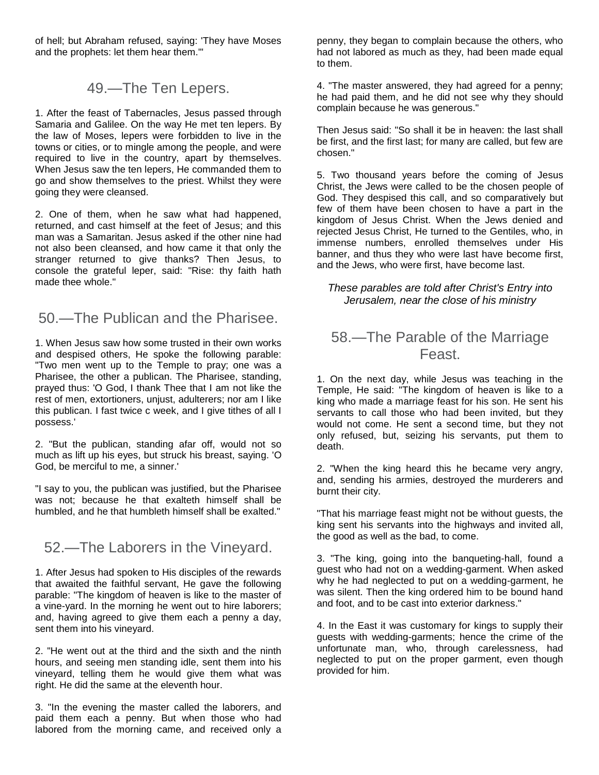of hell; but Abraham refused, saying: 'They have Moses and the prophets: let them hear them.'"

#### 49.—The Ten Lepers.

1. After the feast of Tabernacles, Jesus passed through Samaria and Galilee. On the way He met ten lepers. By the law of Moses, lepers were forbidden to live in the towns or cities, or to mingle among the people, and were required to live in the country, apart by themselves. When Jesus saw the ten lepers, He commanded them to go and show themselves to the priest. Whilst they were going they were cleansed.

2. One of them, when he saw what had happened, returned, and cast himself at the feet of Jesus; and this man was a Samaritan. Jesus asked if the other nine had not also been cleansed, and how came it that only the stranger returned to give thanks? Then Jesus, to console the grateful leper, said: "Rise: thy faith hath made thee whole."

# 50.—The Publican and the Pharisee.

1. When Jesus saw how some trusted in their own works and despised others, He spoke the following parable: "Two men went up to the Temple to pray; one was a Pharisee, the other a publican. The Pharisee, standing, prayed thus: 'O God, I thank Thee that I am not like the rest of men, extortioners, unjust, adulterers; nor am I like this publican. I fast twice c week, and I give tithes of all I possess.'

2. "But the publican, standing afar off, would not so much as lift up his eyes, but struck his breast, saying. 'O God, be merciful to me, a sinner.'

"I say to you, the publican was justified, but the Pharisee was not; because he that exalteth himself shall be humbled, and he that humbleth himself shall be exalted."

#### 52.—The Laborers in the Vineyard.

1. After Jesus had spoken to His disciples of the rewards that awaited the faithful servant, He gave the following parable: "The kingdom of heaven is like to the master of a vine-yard. In the morning he went out to hire laborers; and, having agreed to give them each a penny a day, sent them into his vineyard.

2. "He went out at the third and the sixth and the ninth hours, and seeing men standing idle, sent them into his vineyard, telling them he would give them what was right. He did the same at the eleventh hour.

3. "In the evening the master called the laborers, and paid them each a penny. But when those who had labored from the morning came, and received only a

penny, they began to complain because the others, who had not labored as much as they, had been made equal to them.

4. "The master answered, they had agreed for a penny; he had paid them, and he did not see why they should complain because he was generous."

Then Jesus said: "So shall it be in heaven: the last shall be first, and the first last; for many are called, but few are chosen."

5. Two thousand years before the coming of Jesus Christ, the Jews were called to be the chosen people of God. They despised this call, and so comparatively but few of them have been chosen to have a part in the kingdom of Jesus Christ. When the Jews denied and rejected Jesus Christ, He turned to the Gentiles, who, in immense numbers, enrolled themselves under His banner, and thus they who were last have become first, and the Jews, who were first, have become last.

#### *These parables are told after Christ's Entry into Jerusalem, near the close of his ministry*

#### 58.—The Parable of the Marriage Feast.

1. On the next day, while Jesus was teaching in the Temple, He said: "The kingdom of heaven is like to a king who made a marriage feast for his son. He sent his servants to call those who had been invited, but they would not come. He sent a second time, but they not only refused, but, seizing his servants, put them to death.

2. "When the king heard this he became very angry, and, sending his armies, destroyed the murderers and burnt their city.

"That his marriage feast might not be without guests, the king sent his servants into the highways and invited all, the good as well as the bad, to come.

3. "The king, going into the banqueting-hall, found a guest who had not on a wedding-garment. When asked why he had neglected to put on a wedding-garment, he was silent. Then the king ordered him to be bound hand and foot, and to be cast into exterior darkness."

4. In the East it was customary for kings to supply their guests with wedding-garments; hence the crime of the unfortunate man, who, through carelessness, had neglected to put on the proper garment, even though provided for him.